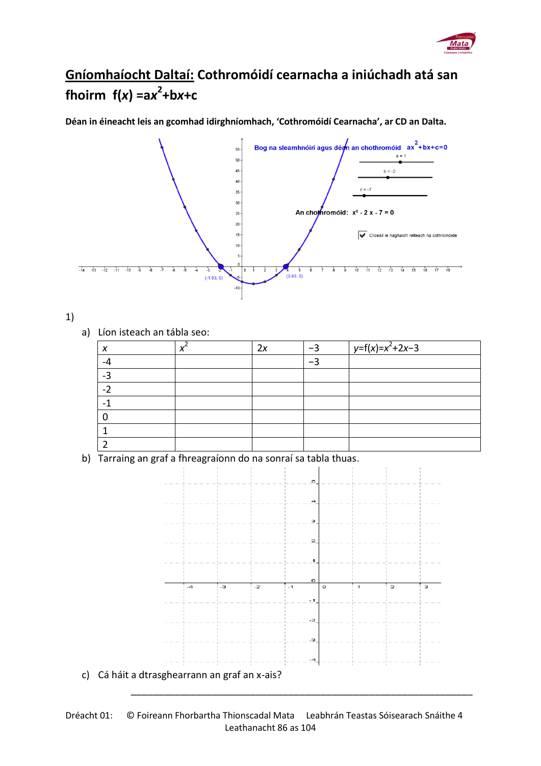

## **Gníomhaíocht Daltaí: Cothromóidí cearnacha a iniúchadh atá san**  fhoirm  $f(x) = ax^2 + bx + c$

**Déan in éineacht leis an gcomhad idirghníomhach, 'Cothromóidí Cearnacha', ar CD an Dalta.**



## 1)

a) Líon isteach an tábla seo:

|    | 2х | $\sqrt{y=f(x)=x^2+2x-3}$ |
|----|----|--------------------------|
| -4 |    |                          |
| ີ  |    |                          |
|    |    |                          |
|    |    |                          |
|    |    |                          |
|    |    |                          |
|    |    |                          |

b) Tarraing an graf a fhreagraíonn do na sonraí sa tabla thuas.



\_\_\_\_\_\_\_\_\_\_\_\_\_\_\_\_\_\_\_\_\_\_\_\_\_\_\_\_\_\_\_\_\_\_\_\_\_\_\_\_\_\_\_\_\_\_\_\_\_\_\_\_\_\_\_\_\_\_\_\_\_\_\_

Dréacht 01: © Foireann Fhorbartha Thionscadal Mata Leabhrán Teastas Sóisearach Snáithe 4 Leathanacht 86 as 104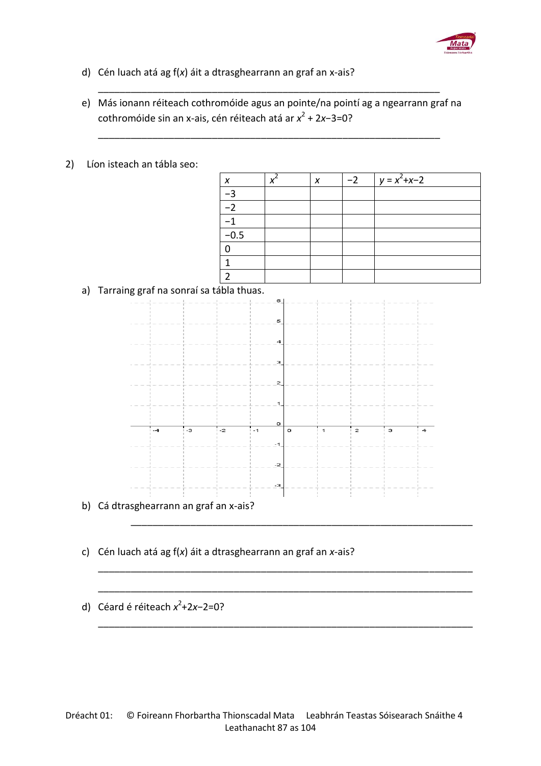

- d) Cén luach atá ag f(*x*) áit a dtrasghearrann an graf an x-ais?
- e) Más ionann réiteach cothromóide agus an pointe/na pointí ag a ngearrann graf na cothromóide sin an x-ais, cén réiteach atá ar *x*<sup>2</sup> + 2*x*−3=0?

\_\_\_\_\_\_\_\_\_\_\_\_\_\_\_\_\_\_\_\_\_\_\_\_\_\_\_\_\_\_\_\_\_\_\_\_\_\_\_\_\_\_\_\_\_\_\_\_\_\_\_\_\_\_\_\_\_\_\_\_\_\_\_

\_\_\_\_\_\_\_\_\_\_\_\_\_\_\_\_\_\_\_\_\_\_\_\_\_\_\_\_\_\_\_\_\_\_\_\_\_\_\_\_\_\_\_\_\_\_\_\_\_\_\_\_\_\_\_\_\_\_\_\_\_\_\_

2) Líon isteach an tábla seo:

| X      | X | $-2$ | $y = x^2 + x - 2$ |
|--------|---|------|-------------------|
| $-3$   |   |      |                   |
| $-2$   |   |      |                   |
| $-1$   |   |      |                   |
| $-0.5$ |   |      |                   |
|        |   |      |                   |
|        |   |      |                   |
|        |   |      |                   |

a) Tarraing graf na sonraí sa tábla thuas.



\_\_\_\_\_\_\_\_\_\_\_\_\_\_\_\_\_\_\_\_\_\_\_\_\_\_\_\_\_\_\_\_\_\_\_\_\_\_\_\_\_\_\_\_\_\_\_\_\_\_\_\_\_\_\_\_\_\_\_\_\_\_\_

\_\_\_\_\_\_\_\_\_\_\_\_\_\_\_\_\_\_\_\_\_\_\_\_\_\_\_\_\_\_\_\_\_\_\_\_\_\_\_\_\_\_\_\_\_\_\_\_\_\_\_\_\_\_\_\_\_\_\_\_\_\_\_\_\_\_\_\_\_

\_\_\_\_\_\_\_\_\_\_\_\_\_\_\_\_\_\_\_\_\_\_\_\_\_\_\_\_\_\_\_\_\_\_\_\_\_\_\_\_\_\_\_\_\_\_\_\_\_\_\_\_\_\_\_\_\_\_\_\_\_\_\_\_\_\_\_\_\_

\_\_\_\_\_\_\_\_\_\_\_\_\_\_\_\_\_\_\_\_\_\_\_\_\_\_\_\_\_\_\_\_\_\_\_\_\_\_\_\_\_\_\_\_\_\_\_\_\_\_\_\_\_\_\_\_\_\_\_\_\_\_\_\_\_\_\_\_\_

- c) Cén luach atá ag f(*x*) áit a dtrasghearrann an graf an *x*-ais?
- d) Céard é réiteach x<sup>2</sup>+2x−2=0?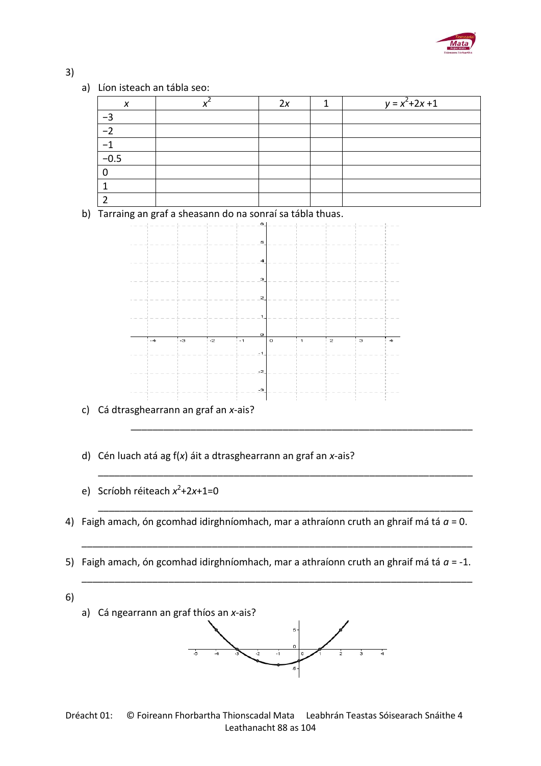

## 3)

a) Líon isteach an tábla seo:

| X      | 2x | $y = x^2 + 2x + 1$ |
|--------|----|--------------------|
|        |    |                    |
|        |    |                    |
|        |    |                    |
| $-0.5$ |    |                    |
|        |    |                    |
|        |    |                    |
|        |    |                    |

b) Tarraing an graf a sheasann do na sonraí sa tábla thuas.



- c) Cá dtrasghearrann an graf an *x*-ais?
- d) Cén luach atá ag f(*x*) áit a dtrasghearrann an graf an *x*-ais?
- e) Scríobh réiteach  $x^2+2x+1=0$
- 4) Faigh amach, ón gcomhad idirghníomhach, mar a athraíonn cruth an ghraif má tá *a* = 0.

\_\_\_\_\_\_\_\_\_\_\_\_\_\_\_\_\_\_\_\_\_\_\_\_\_\_\_\_\_\_\_\_\_\_\_\_\_\_\_\_\_\_\_\_\_\_\_\_\_\_\_\_\_\_\_\_\_\_\_\_\_\_\_

\_\_\_\_\_\_\_\_\_\_\_\_\_\_\_\_\_\_\_\_\_\_\_\_\_\_\_\_\_\_\_\_\_\_\_\_\_\_\_\_\_\_\_\_\_\_\_\_\_\_\_\_\_\_\_\_\_\_\_\_\_\_\_\_\_\_\_\_\_

\_\_\_\_\_\_\_\_\_\_\_\_\_\_\_\_\_\_\_\_\_\_\_\_\_\_\_\_\_\_\_\_\_\_\_\_\_\_\_\_\_\_\_\_\_\_\_\_\_\_\_\_\_\_\_\_\_\_\_\_\_\_\_\_\_\_\_\_\_

5) Faigh amach, ón gcomhad idirghníomhach, mar a athraíonn cruth an ghraif má tá *a* = -1.

\_\_\_\_\_\_\_\_\_\_\_\_\_\_\_\_\_\_\_\_\_\_\_\_\_\_\_\_\_\_\_\_\_\_\_\_\_\_\_\_\_\_\_\_\_\_\_\_\_\_\_\_\_\_\_\_\_\_\_\_\_\_\_\_\_\_\_\_\_\_\_\_



## Dréacht 01: © Foireann Fhorbartha Thionscadal Mata Leabhrán Teastas Sóisearach Snáithe 4 Leathanacht 88 as 104